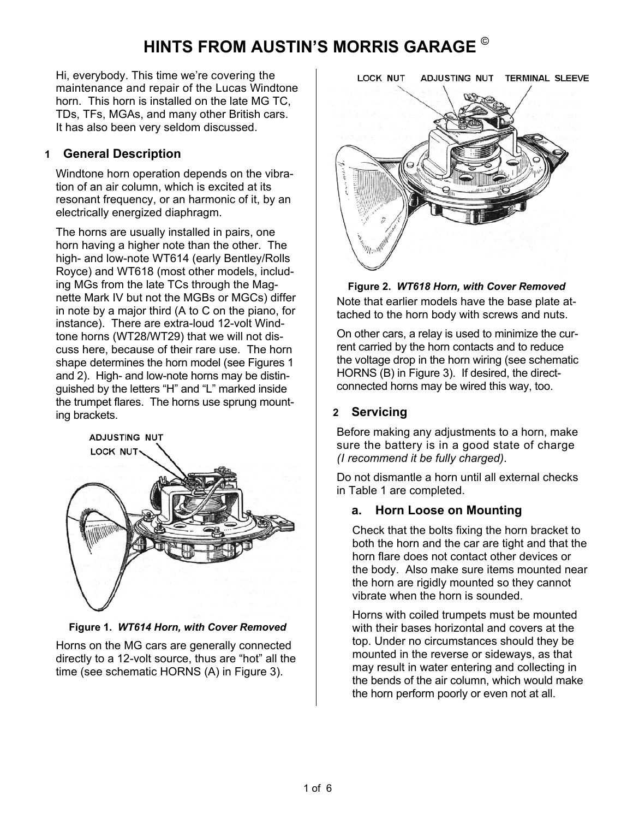# **HINTS FROM AUSTIN'S MORRIS GARAGE** ©

Hi, everybody. This time we're covering the maintenance and repair of the Lucas Windtone horn. This horn is installed on the late MG TC, TDs, TFs, MGAs, and many other British cars. It has also been very seldom discussed.

#### **1 General Description**

Windtone horn operation depends on the vibration of an air column, which is excited at its resonant frequency, or an harmonic of it, by an electrically energized diaphragm.

The horns are usually installed in pairs, one horn having a higher note than the other. The high- and low-note WT614 (early Bentley/Rolls Royce) and WT618 (most other models, including MGs from the late TCs through the Magnette Mark IV but not the MGBs or MGCs) differ in note by a major third (A to C on the piano, for instance). There are extra-loud 12-volt Windtone horns (WT28/WT29) that we will not discuss here, because of their rare use. The horn shape determines the horn model (see Figures 1 and 2). High- and low-note horns may be distinguished by the letters "H" and "L" marked inside the trumpet flares. The horns use sprung mounting brackets.



**Figure 1.** *WT614 Horn, with Cover Removed* 

Horns on the MG cars are generally connected directly to a 12-volt source, thus are "hot" all the time (see schematic HORNS (A) in Figure 3).



**Figure 2.** *WT618 Horn, with Cover Removed*  Note that earlier models have the base plate attached to the horn body with screws and nuts.

On other cars, a relay is used to minimize the current carried by the horn contacts and to reduce the voltage drop in the horn wiring (see schematic HORNS (B) in Figure 3). If desired, the directconnected horns may be wired this way, too.

#### **2 Servicing**

Before making any adjustments to a horn, make sure the battery is in a good state of charge *(I recommend it be fully charged)*.

Do not dismantle a horn until all external checks in Table 1 are completed.

#### **a. Horn Loose on Mounting**

Check that the bolts fixing the horn bracket to both the horn and the car are tight and that the horn flare does not contact other devices or the body. Also make sure items mounted near the horn are rigidly mounted so they cannot vibrate when the horn is sounded.

Horns with coiled trumpets must be mounted with their bases horizontal and covers at the top. Under no circumstances should they be mounted in the reverse or sideways, as that may result in water entering and collecting in the bends of the air column, which would make the horn perform poorly or even not at all.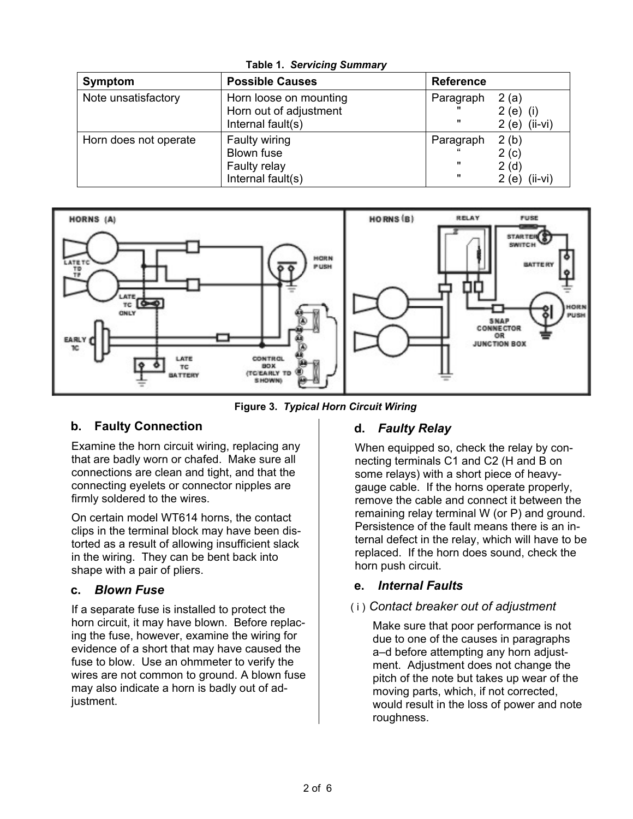| <b>Symptom</b>        | <b>Possible Causes</b>                           | <b>Reference</b> |                    |
|-----------------------|--------------------------------------------------|------------------|--------------------|
| Note unsatisfactory   | Horn loose on mounting<br>Horn out of adjustment | Paragraph        | 2(a)<br>$2(e)$ (i) |
|                       | Internal fault(s)                                | -11              | $2(e)$ (ii-vi)     |
| Horn does not operate | Faulty wiring<br>Blown fuse                      | Paragraph        | 2(b)<br>2(c)       |
|                       | Faulty relay                                     | $\mathbf{u}$     | 2(d)               |
|                       | Internal fault(s)                                |                  | $(ii-vi)$<br>2(e)  |

**Table 1.** *Servicing Summary*



**Figure 3.** *Typical Horn Circuit Wiring*

### **b. Faulty Connection**

Examine the horn circuit wiring, replacing any that are badly worn or chafed. Make sure all connections are clean and tight, and that the connecting eyelets or connector nipples are firmly soldered to the wires.

On certain model WT614 horns, the contact clips in the terminal block may have been distorted as a result of allowing insufficient slack in the wiring. They can be bent back into shape with a pair of pliers.

#### **c.** *Blown Fuse*

If a separate fuse is installed to protect the horn circuit, it may have blown. Before replacing the fuse, however, examine the wiring for evidence of a short that may have caused the fuse to blow. Use an ohmmeter to verify the wires are not common to ground. A blown fuse may also indicate a horn is badly out of adjustment.

#### **d.** *Faulty Relay*

When equipped so, check the relay by connecting terminals C1 and C2 (H and B on some relays) with a short piece of heavygauge cable. If the horns operate properly, remove the cable and connect it between the remaining relay terminal W (or P) and ground. Persistence of the fault means there is an internal defect in the relay, which will have to be replaced. If the horn does sound, check the horn push circuit.

#### **e.** *Internal Faults*

### ( i ) *Contact breaker out of adjustment*

Make sure that poor performance is not due to one of the causes in paragraphs a–d before attempting any horn adjustment. Adjustment does not change the pitch of the note but takes up wear of the moving parts, which, if not corrected, would result in the loss of power and note roughness.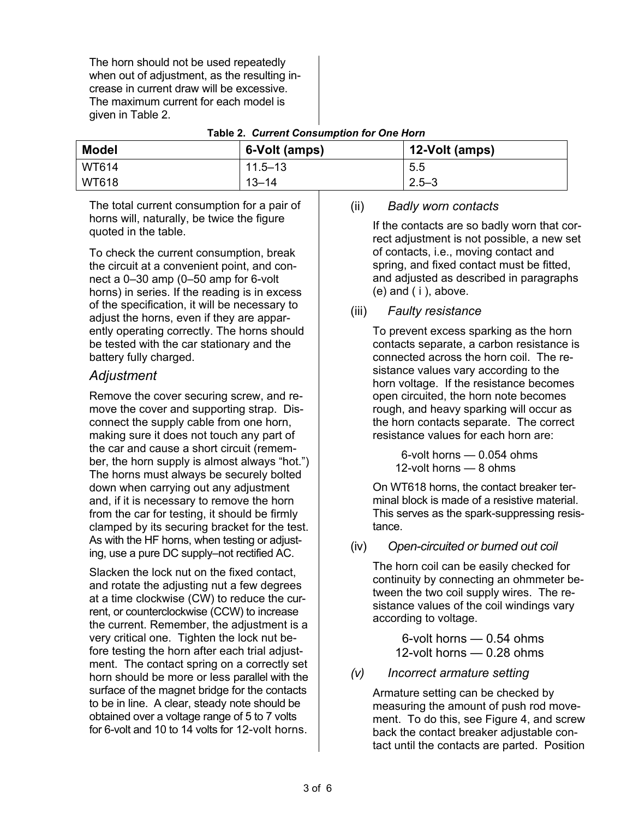The horn should not be used repeatedly when out of adjustment, as the resulting increase in current draw will be excessive. The maximum current for each model is given in Table 2.

| <b>Model</b> | 6-Volt (amps) | 12-Volt (amps) |
|--------------|---------------|----------------|
| <b>WT614</b> | $11.5 - 13$   | 5.5            |
| WT618        | $13 - 14$     | $2.5 - 3$      |

**Table 2.** *Current Consumption for One Horn* 

The total current consumption for a pair of horns will, naturally, be twice the figure quoted in the table.

To check the current consumption, break the circuit at a convenient point, and connect a 0–30 amp (0–50 amp for 6-volt horns) in series. If the reading is in excess of the specification, it will be necessary to adjust the horns, even if they are apparently operating correctly. The horns should be tested with the car stationary and the battery fully charged.

#### *Adjustment*

Remove the cover securing screw, and remove the cover and supporting strap. Disconnect the supply cable from one horn, making sure it does not touch any part of the car and cause a short circuit (remember, the horn supply is almost always "hot.") The horns must always be securely bolted down when carrying out any adjustment and, if it is necessary to remove the horn from the car for testing, it should be firmly clamped by its securing bracket for the test. As with the HF horns, when testing or adjusting, use a pure DC supply–not rectified AC.

Slacken the lock nut on the fixed contact, and rotate the adjusting nut a few degrees at a time clockwise (CW) to reduce the current, or counterclockwise (CCW) to increase the current. Remember, the adjustment is a very critical one. Tighten the lock nut before testing the horn after each trial adjustment. The contact spring on a correctly set horn should be more or less parallel with the surface of the magnet bridge for the contacts to be in line. A clear, steady note should be obtained over a voltage range of 5 to 7 volts for 6-volt and 10 to 14 volts for 12-volt horns.

#### (ii) *Badly worn contacts*

If the contacts are so badly worn that correct adjustment is not possible, a new set of contacts, i.e., moving contact and spring, and fixed contact must be fitted, and adjusted as described in paragraphs (e) and ( i ), above.

#### (iii) *Faulty resistance*

To prevent excess sparking as the horn contacts separate, a carbon resistance is connected across the horn coil. The resistance values vary according to the horn voltage. If the resistance becomes open circuited, the horn note becomes rough, and heavy sparking will occur as the horn contacts separate. The correct resistance values for each horn are:

> 6-volt horns — 0.054 ohms 12-volt horns — 8 ohms

On WT618 horns, the contact breaker terminal block is made of a resistive material. This serves as the spark-suppressing resistance.

#### (iv) *Open-circuited or burned out coil*

The horn coil can be easily checked for continuity by connecting an ohmmeter between the two coil supply wires. The resistance values of the coil windings vary according to voltage.

> 6-volt horns — 0.54 ohms 12-volt horns — 0.28 ohms

#### *(v) Incorrect armature setting*

Armature setting can be checked by measuring the amount of push rod movement. To do this, see Figure 4, and screw back the contact breaker adjustable contact until the contacts are parted. Position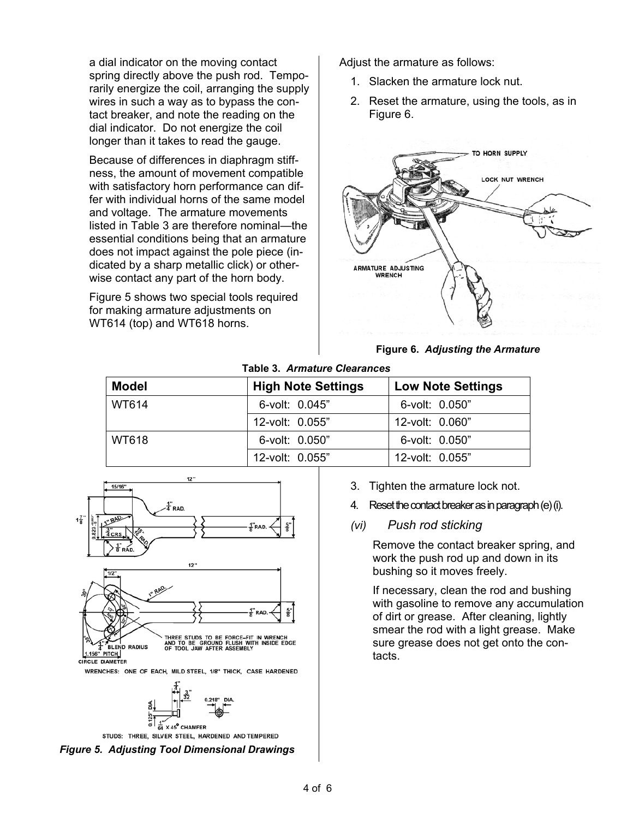a dial indicator on the moving contact spring directly above the push rod. Temporarily energize the coil, arranging the supply wires in such a way as to bypass the contact breaker, and note the reading on the dial indicator. Do not energize the coil longer than it takes to read the gauge.

Because of differences in diaphragm stiffness, the amount of movement compatible with satisfactory horn performance can differ with individual horns of the same model and voltage. The armature movements listed in Table 3 are therefore nominal—the essential conditions being that an armature does not impact against the pole piece (indicated by a sharp metallic click) or otherwise contact any part of the horn body.

Figure 5 shows two special tools required for making armature adjustments on WT614 (top) and WT618 horns.

Adjust the armature as follows:

- 1. Slacken the armature lock nut.
- 2. Reset the armature, using the tools, as in Figure 6.



**Figure 6.** *Adjusting the Armature* 

#### **Table 3.** *Armature Clearances*

| <b>Model</b> | <b>High Note Settings</b> | <b>Low Note Settings</b> |
|--------------|---------------------------|--------------------------|
| WT614        | 6-volt: 0.045"            | 6-volt: 0.050"           |
|              | 12-volt: 0.055"           | 12-volt: 0.060"          |
| WT618        | 6-volt: 0.050"            | 6-volt: 0.050"           |
|              | 12-volt: 0.055"           | 12-volt: 0.055"          |





STUDS: THREE, SILVER STEEL, HARDENED AND TEMPERED



- 3. Tighten the armature lock not.
- Reset the contact breaker as in paragraph (e) (i).
- *(vi) Push rod sticking*

Remove the contact breaker spring, and work the push rod up and down in its bushing so it moves freely.

If necessary, clean the rod and bushing with gasoline to remove any accumulation of dirt or grease. After cleaning, lightly smear the rod with a light grease. Make sure grease does not get onto the contacts.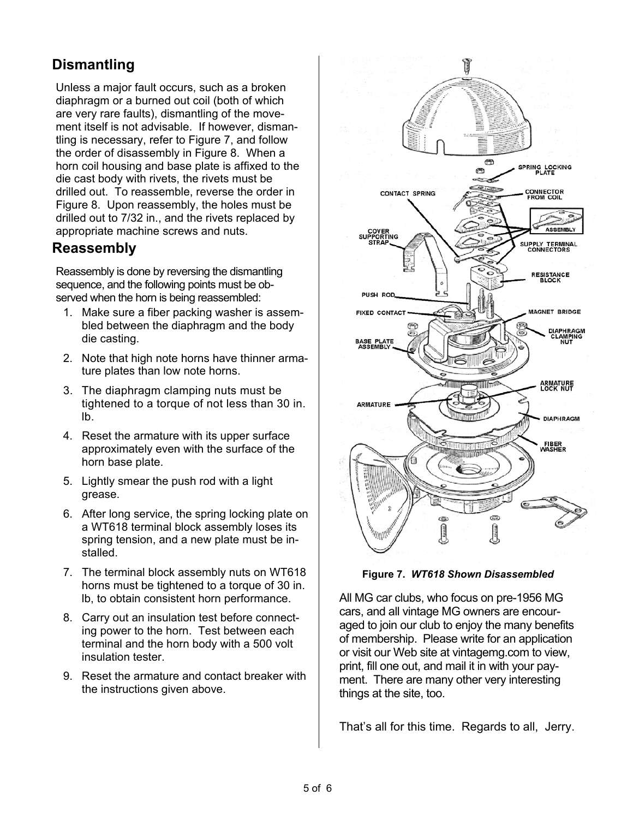## **Dismantling**

Unless a major fault occurs, such as a broken diaphragm or a burned out coil (both of which are very rare faults), dismantling of the movement itself is not advisable. If however, dismantling is necessary, refer to Figure 7, and follow the order of disassembly in Figure 8. When a horn coil housing and base plate is affixed to the die cast body with rivets, the rivets must be drilled out. To reassemble, reverse the order in Figure 8. Upon reassembly, the holes must be drilled out to 7/32 in., and the rivets replaced by appropriate machine screws and nuts.

### **Reassembly**

Reassembly is done by reversing the dismantling sequence, and the following points must be observed when the horn is being reassembled:

- 1. Make sure a fiber packing washer is assembled between the diaphragm and the body die casting.
- 2. Note that high note horns have thinner armature plates than low note horns.
- 3. The diaphragm clamping nuts must be tightened to a torque of not less than 30 in. lb.
- 4. Reset the armature with its upper surface approximately even with the surface of the horn base plate.
- 5. Lightly smear the push rod with a light grease.
- 6. After long service, the spring locking plate on a WT618 terminal block assembly loses its spring tension, and a new plate must be installed.
- 7. The terminal block assembly nuts on WT618 horns must be tightened to a torque of 30 in. lb, to obtain consistent horn performance.
- 8. Carry out an insulation test before connecting power to the horn. Test between each terminal and the horn body with a 500 volt insulation tester.
- 9. Reset the armature and contact breaker with the instructions given above.



**Figure 7.** *WT618 Shown Disassembled* 

All MG car clubs, who focus on pre-1956 MG cars, and all vintage MG owners are encouraged to join our club to enjoy the many benefits of membership. Please write for an application or visit our Web site at vintagemg.com to view, print, fill one out, and mail it in with your payment. There are many other very interesting things at the site, too.

That's all for this time. Regards to all, Jerry.